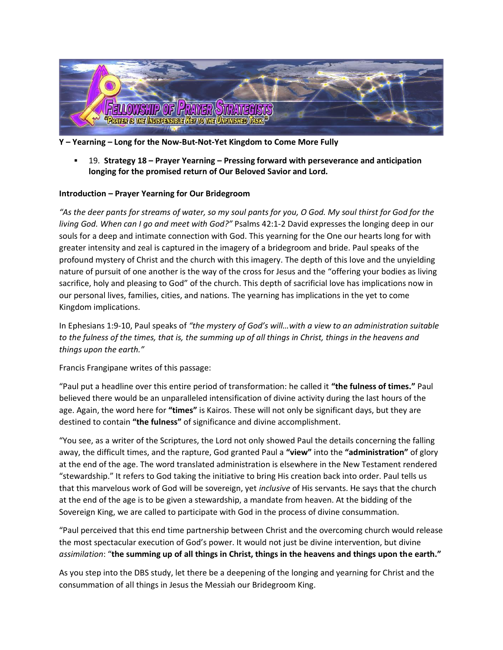

- **Y – Yearning – Long for the Now-But-Not-Yet Kingdom to Come More Fully**
	- 19. **Strategy 18 – Prayer Yearning – Pressing forward with perseverance and anticipation longing for the promised return of Our Beloved Savior and Lord.**

### **Introduction – Prayer Yearning for Our Bridegroom**

*"As the deer pants for streams of water, so my soul pants for you, O God. My soul thirst for God for the living God. When can I go and meet with God?"* Psalms 42:1-2 David expresses the longing deep in our souls for a deep and intimate connection with God. This yearning for the One our hearts long for with greater intensity and zeal is captured in the imagery of a bridegroom and bride. Paul speaks of the profound mystery of Christ and the church with this imagery. The depth of this love and the unyielding nature of pursuit of one another is the way of the cross for Jesus and the "offering your bodies as living sacrifice, holy and pleasing to God" of the church. This depth of sacrificial love has implications now in our personal lives, families, cities, and nations. The yearning has implications in the yet to come Kingdom implications.

In Ephesians 1:9-10, Paul speaks of *"the mystery of God's will…with a view to an administration suitable to the fulness of the times, that is, the summing up of all things in Christ, things in the heavens and things upon the earth."* 

Francis Frangipane writes of this passage:

"Paul put a headline over this entire period of transformation: he called it **"the fulness of times."** Paul believed there would be an unparalleled intensification of divine activity during the last hours of the age. Again, the word here for **"times"** is Kairos. These will not only be significant days, but they are destined to contain **"the fulness"** of significance and divine accomplishment.

"You see, as a writer of the Scriptures, the Lord not only showed Paul the details concerning the falling away, the difficult times, and the rapture, God granted Paul a **"view"** into the **"administration"** of glory at the end of the age. The word translated administration is elsewhere in the New Testament rendered "stewardship." It refers to God taking the initiative to bring His creation back into order. Paul tells us that this marvelous work of God will be sovereign, yet *inclusive* of His servants. He says that the church at the end of the age is to be given a stewardship, a mandate from heaven. At the bidding of the Sovereign King, we are called to participate with God in the process of divine consummation.

"Paul perceived that this end time partnership between Christ and the overcoming church would release the most spectacular execution of God's power. It would not just be divine intervention, but divine *assimilation*: "**the summing up of all things in Christ, things in the heavens and things upon the earth."**

As you step into the DBS study, let there be a deepening of the longing and yearning for Christ and the consummation of all things in Jesus the Messiah our Bridegroom King.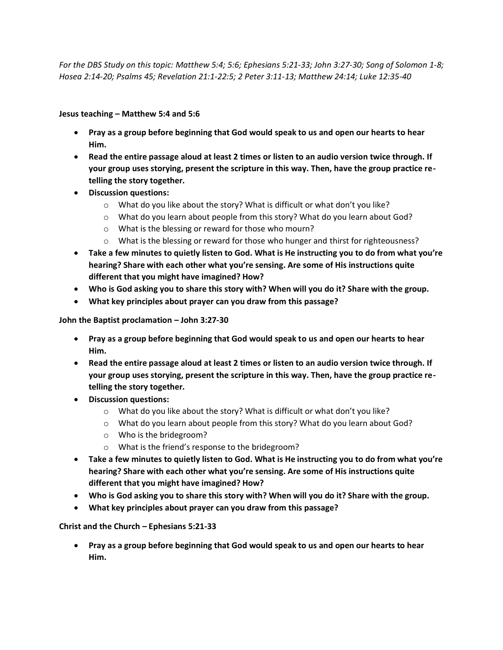*For the DBS Study on this topic: Matthew 5:4; 5:6; Ephesians 5:21-33; John 3:27-30; Song of Solomon 1-8; Hosea 2:14-20; Psalms 45; Revelation 21:1-22:5; 2 Peter 3:11-13; Matthew 24:14; Luke 12:35-40*

**Jesus teaching – Matthew 5:4 and 5:6**

- **Pray as a group before beginning that God would speak to us and open our hearts to hear Him.**
- **Read the entire passage aloud at least 2 times or listen to an audio version twice through. If your group uses storying, present the scripture in this way. Then, have the group practice retelling the story together.**
- **Discussion questions:**
	- $\circ$  What do you like about the story? What is difficult or what don't you like?
	- o What do you learn about people from this story? What do you learn about God?
	- o What is the blessing or reward for those who mourn?
	- $\circ$  What is the blessing or reward for those who hunger and thirst for righteousness?
- **Take a few minutes to quietly listen to God. What is He instructing you to do from what you're hearing? Share with each other what you're sensing. Are some of His instructions quite different that you might have imagined? How?**
- **Who is God asking you to share this story with? When will you do it? Share with the group.**
- **What key principles about prayer can you draw from this passage?**

### **John the Baptist proclamation – John 3:27-30**

- **Pray as a group before beginning that God would speak to us and open our hearts to hear Him.**
- **Read the entire passage aloud at least 2 times or listen to an audio version twice through. If your group uses storying, present the scripture in this way. Then, have the group practice retelling the story together.**
- **Discussion questions:**
	- $\circ$  What do you like about the story? What is difficult or what don't you like?
	- o What do you learn about people from this story? What do you learn about God?
	- o Who is the bridegroom?
	- o What is the friend's response to the bridegroom?
- **Take a few minutes to quietly listen to God. What is He instructing you to do from what you're hearing? Share with each other what you're sensing. Are some of His instructions quite different that you might have imagined? How?**
- **Who is God asking you to share this story with? When will you do it? Share with the group.**
- **What key principles about prayer can you draw from this passage?**

## **Christ and the Church – Ephesians 5:21-33**

• **Pray as a group before beginning that God would speak to us and open our hearts to hear Him.**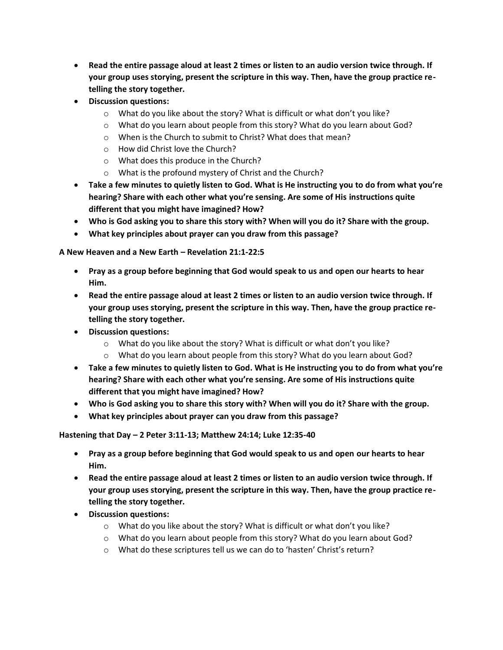- **Read the entire passage aloud at least 2 times or listen to an audio version twice through. If your group uses storying, present the scripture in this way. Then, have the group practice retelling the story together.**
- **Discussion questions:**
	- $\circ$  What do you like about the story? What is difficult or what don't you like?
	- $\circ$  What do you learn about people from this story? What do you learn about God?
	- o When is the Church to submit to Christ? What does that mean?
	- o How did Christ love the Church?
	- o What does this produce in the Church?
	- o What is the profound mystery of Christ and the Church?
- **Take a few minutes to quietly listen to God. What is He instructing you to do from what you're hearing? Share with each other what you're sensing. Are some of His instructions quite different that you might have imagined? How?**
- **Who is God asking you to share this story with? When will you do it? Share with the group.**
- **What key principles about prayer can you draw from this passage?**

## **A New Heaven and a New Earth – Revelation 21:1-22:5**

- **Pray as a group before beginning that God would speak to us and open our hearts to hear Him.**
- **Read the entire passage aloud at least 2 times or listen to an audio version twice through. If your group uses storying, present the scripture in this way. Then, have the group practice retelling the story together.**
- **Discussion questions:**
	- $\circ$  What do you like about the story? What is difficult or what don't you like?
	- o What do you learn about people from this story? What do you learn about God?
- **Take a few minutes to quietly listen to God. What is He instructing you to do from what you're hearing? Share with each other what you're sensing. Are some of His instructions quite different that you might have imagined? How?**
- **Who is God asking you to share this story with? When will you do it? Share with the group.**
- **What key principles about prayer can you draw from this passage?**

**Hastening that Day – 2 Peter 3:11-13; Matthew 24:14; Luke 12:35-40**

- **Pray as a group before beginning that God would speak to us and open our hearts to hear Him.**
- **Read the entire passage aloud at least 2 times or listen to an audio version twice through. If your group uses storying, present the scripture in this way. Then, have the group practice retelling the story together.**
- **Discussion questions:**
	- $\circ$  What do you like about the story? What is difficult or what don't you like?
	- $\circ$  What do you learn about people from this story? What do you learn about God?
	- o What do these scriptures tell us we can do to 'hasten' Christ's return?